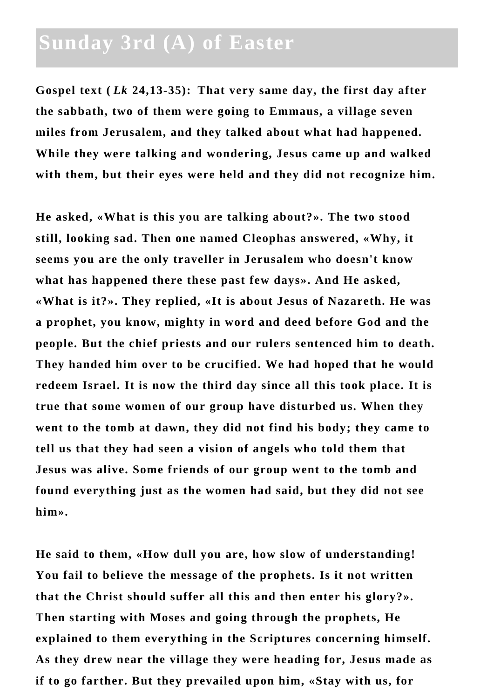## **Sunday 3rd (A) of Easter**

**Gospel text (** *Lk* **24,13-35): That very same day, the first day after the sabbath, two of them were going to Emmaus, a village seven miles from Jerusalem, and they talked about what had happened. While they were talking and wondering, Jesus came up and walked with them, but their eyes were held and they did not recognize him.** 

**He asked, «What is this you are talking about?». The two stood still, looking sad. Then one named Cleophas answered, «Why, it seems you are the only traveller in Jerusalem who doesn't know what has happened there these past few days». And He asked, «What is it?». They replied, «It is about Jesus of Nazareth. He was a prophet, you know, mighty in word and deed before God and the people. But the chief priests and our rulers sentenced him to death. They handed him over to be crucified. We had hoped that he would redeem Israel. It is now the third day since all this took place. It is true that some women of our group have disturbed us. When they went to the tomb at dawn, they did not find his body; they came to tell us that they had seen a vision of angels who told them that Jesus was alive. Some friends of our group went to the tomb and found everything just as the women had said, but they did not see him».**

**He said to them, «How dull you are, how slow of understanding! You fail to believe the message of the prophets. Is it not written that the Christ should suffer all this and then enter his glory?». Then starting with Moses and going through the prophets, He explained to them everything in the Scriptures concerning himself. As they drew near the village they were heading for, Jesus made as if to go farther. But they prevailed upon him, «Stay with us, for**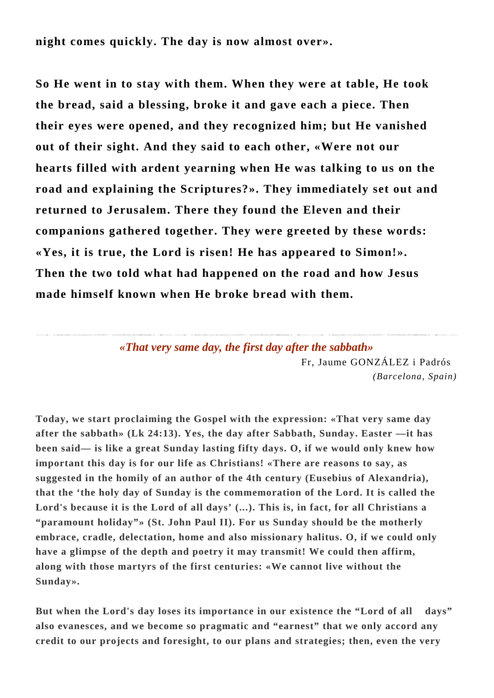**night comes quickly. The day is now almost over».** 

**So He went in to stay with them. When they were at table, He took the bread, said a blessing, broke it and gave each a piece. Then their eyes were opened, and they recognized him; but He vanished out of their sight. And they said to each other, «Were not our hearts filled with ardent yearning when He was talking to us on the road and explaining the Scriptures?». They immediately set out and returned to Jerusalem. There they found the Eleven and their companions gathered together. They were greeted by these words: «Yes, it is true, the Lord is risen! He has appeared to Simon!». Then the two told what had happened on the road and how Jesus made himself known when He broke bread with them.**

> *«That very same day, the first day after the sabbath»* Fr, Jaume GONZÁLEZ i Padrós *(Barcelona, Spain)*

**Today, we start proclaiming the Gospel with the expression: «That very same day after the sabbath» (Lk 24:13). Yes, the day after Sabbath, Sunday. Easter —it has been said— is like a great Sunday lasting fifty days. O, if we would only knew how important this day is for our life as Christians! «There are reasons to say, as suggested in the homily of an author of the 4th century (Eusebius of Alexandria), that the 'the holy day of Sunday is the commemoration of the Lord. It is called the Lord's because it is the Lord of all days' (...). This is, in fact, for all Christians a "paramount holiday"» (St. John Paul II). For us Sunday should be the motherly embrace, cradle, delectation, home and also missionary halitus. O, if we could only have a glimpse of the depth and poetry it may transmit! We could then affirm, along with those martyrs of the first centuries: «We cannot live without the Sunday».** 

**But when the Lord's day loses its importance in our existence the "Lord of all days" also evanesces, and we become so pragmatic and "earnest" that we only accord any credit to our projects and foresight, to our plans and strategies; then, even the very**